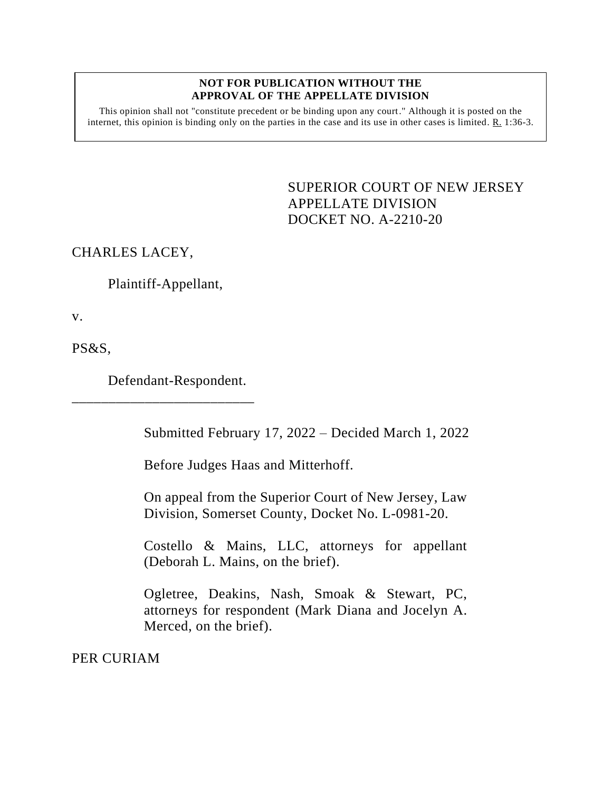## **NOT FOR PUBLICATION WITHOUT THE APPROVAL OF THE APPELLATE DIVISION**

This opinion shall not "constitute precedent or be binding upon any court." Although it is posted on the internet, this opinion is binding only on the parties in the case and its use in other cases is limited. R. 1:36-3.

> <span id="page-0-0"></span>SUPERIOR COURT OF NEW JERSEY APPELLATE DIVISION DOCKET NO. A-2210-20

CHARLES LACEY,

Plaintiff-Appellant,

v.

PS&S,

Defendant-Respondent.

\_\_\_\_\_\_\_\_\_\_\_\_\_\_\_\_\_\_\_\_\_\_\_\_\_

Submitted February 17, 2022 – Decided March 1, 2022

Before Judges Haas and Mitterhoff.

On appeal from the Superior Court of New Jersey, Law Division, Somerset County, Docket No. L-0981-20.

Costello & Mains, LLC, attorneys for appellant (Deborah L. Mains, on the brief).

Ogletree, Deakins, Nash, Smoak & Stewart, PC, attorneys for respondent (Mark Diana and Jocelyn A. Merced, on the brief).

PER CURIAM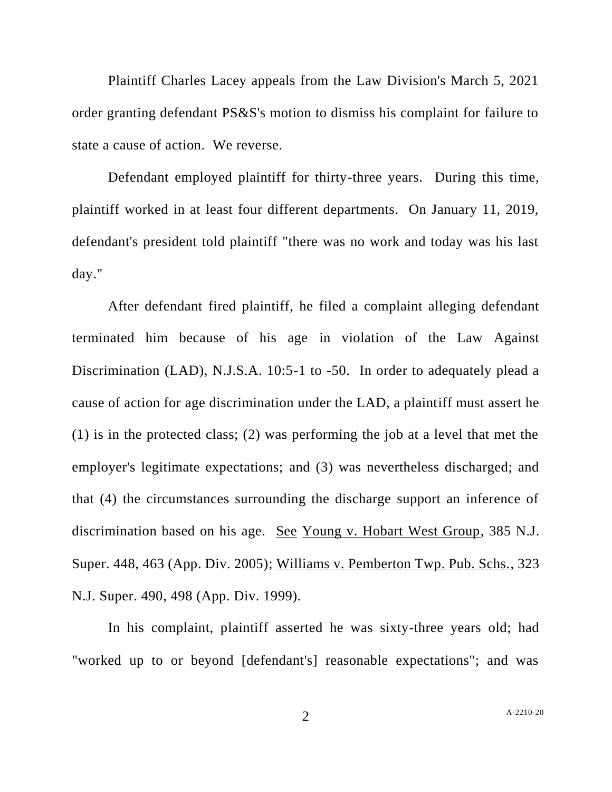Plaintiff Charles Lacey appeals from the Law Division's March 5, 2021 order granting defendant PS&S's motion to dismiss his complaint for failure to state a cause of action. We reverse.

Defendant employed plaintiff for thirty-three years. During this time, plaintiff worked in at least four different departments. On January 11, 2019, defendant's president told plaintiff "there was no work and today was his last day."

After defendant fired plaintiff, he filed a complaint alleging defendant terminated him because of his age in violation of the Law Against Discrimination (LAD), N.J.S.A. 10:5-1 to -50. In order to adequately plead a cause of action for age discrimination under the LAD, a plaintiff must assert he (1) is in the protected class; (2) was performing the job at a level that met the employer's legitimate expectations; and (3) was nevertheless discharged; and that (4) the circumstances surrounding the discharge support an inference of discrimination based on his age. See Young v. Hobart West Group, 385 N.J. Super. 448, 463 (App. Div. 2005); Williams v. Pemberton Twp. Pub. Schs., 323 N.J. Super. 490, 498 (App. Div. 1999).

In his complaint, plaintiff asserted he was sixty-three years old; had "worked up to or beyond [defendant's] reasonable expectations"; and was

2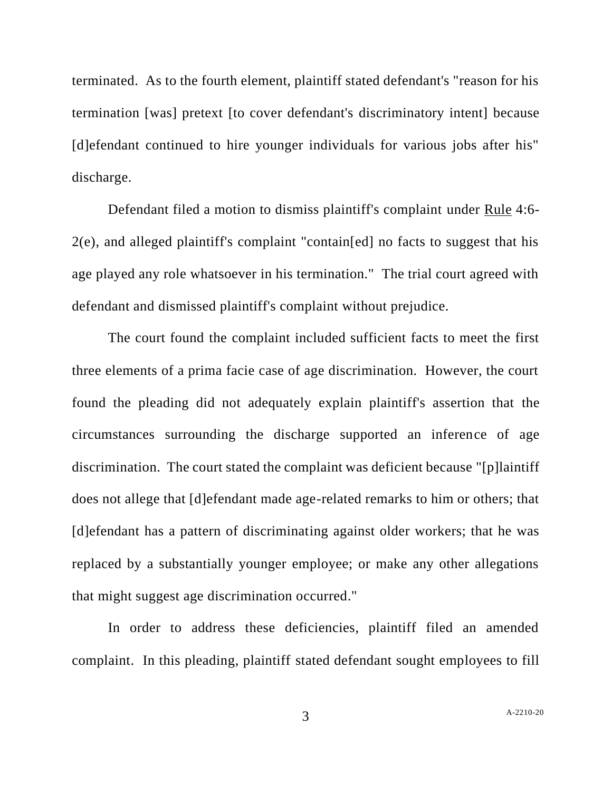terminated. As to the fourth element, plaintiff stated defendant's "reason for his termination [was] pretext [to cover defendant's discriminatory intent] because [d]efendant continued to hire younger individuals for various jobs after his" discharge.

Defendant filed a motion to dismiss plaintiff's complaint under Rule 4:6- 2(e), and alleged plaintiff's complaint "contain[ed] no facts to suggest that his age played any role whatsoever in his termination." The trial court agreed with defendant and dismissed plaintiff's complaint without prejudice.

The court found the complaint included sufficient facts to meet the first three elements of a prima facie case of age discrimination. However, the court found the pleading did not adequately explain plaintiff's assertion that the circumstances surrounding the discharge supported an inference of age discrimination. The court stated the complaint was deficient because "[p]laintiff does not allege that [d]efendant made age-related remarks to him or others; that [d]efendant has a pattern of discriminating against older workers; that he was replaced by a substantially younger employee; or make any other allegations that might suggest age discrimination occurred."

In order to address these deficiencies, plaintiff filed an amended complaint. In this pleading, plaintiff stated defendant sought employees to fill

3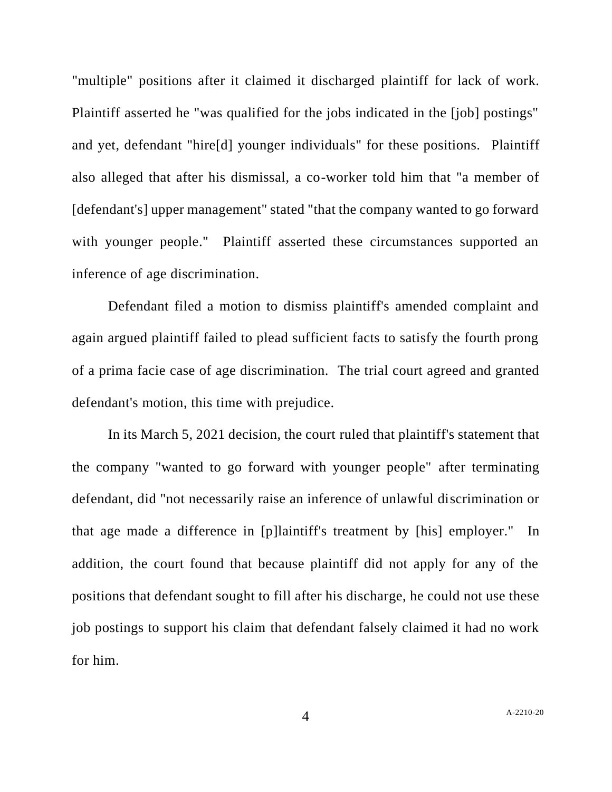"multiple" positions after it claimed it discharged plaintiff for lack of work. Plaintiff asserted he "was qualified for the jobs indicated in the [job] postings" and yet, defendant "hire[d] younger individuals" for these positions. Plaintiff also alleged that after his dismissal, a co-worker told him that "a member of [defendant's] upper management" stated "that the company wanted to go forward with younger people." Plaintiff asserted these circumstances supported an inference of age discrimination.

Defendant filed a motion to dismiss plaintiff's amended complaint and again argued plaintiff failed to plead sufficient facts to satisfy the fourth prong of a prima facie case of age discrimination. The trial court agreed and granted defendant's motion, this time with prejudice.

In its March 5, 2021 decision, the court ruled that plaintiff's statement that the company "wanted to go forward with younger people" after terminating defendant, did "not necessarily raise an inference of unlawful discrimination or that age made a difference in [p]laintiff's treatment by [his] employer." In addition, the court found that because plaintiff did not apply for any of the positions that defendant sought to fill after his discharge, he could not use these job postings to support his claim that defendant falsely claimed it had no work for him.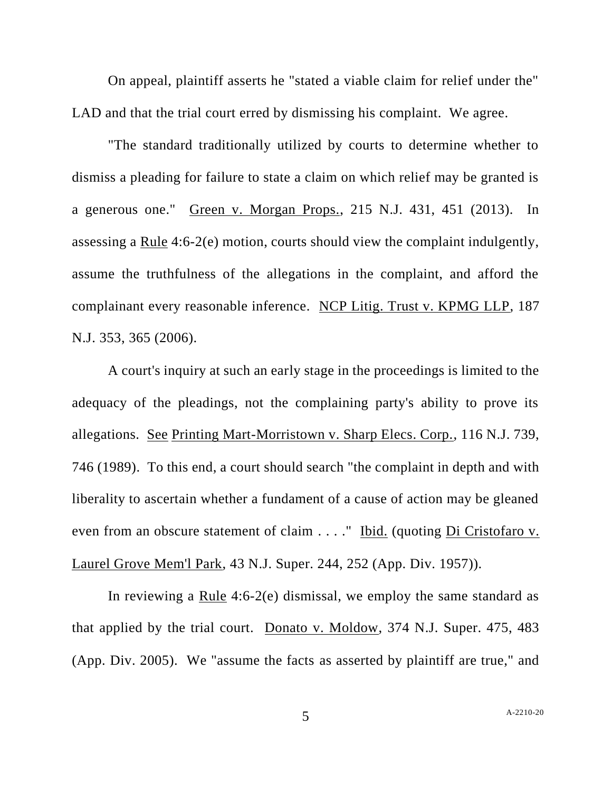On appeal, plaintiff asserts he "stated a viable claim for relief under the" LAD and that the trial court erred by dismissing his complaint. We agree.

"The standard traditionally utilized by courts to determine whether to dismiss a pleading for failure to state a claim on which relief may be granted is a generous one." Green v. Morgan Props., 215 N.J. 431, 451 (2013). In assessing a Rule 4:6-2(e) motion, courts should view the complaint indulgently, assume the truthfulness of the allegations in the complaint, and afford the complainant every reasonable inference. NCP Litig. Trust v. KPMG LLP, 187 N.J. 353, 365 (2006).

A court's inquiry at such an early stage in the proceedings is limited to the adequacy of the pleadings, not the complaining party's ability to prove its allegations. See Printing Mart-Morristown v. Sharp Elecs. Corp., 116 N.J. 739, 746 (1989). To this end, a court should search "the complaint in depth and with liberality to ascertain whether a fundament of a cause of action may be gleaned even from an obscure statement of claim . . . . " Ibid. (quoting Di Cristofaro v. Laurel Grove Mem'l Park, 43 N.J. Super. 244, 252 (App. Div. 1957)).

In reviewing a Rule 4:6-2(e) dismissal, we employ the same standard as that applied by the trial court. Donato v. Moldow, 374 N.J. Super. 475, 483 (App. Div. 2005). We "assume the facts as asserted by plaintiff are true," and

5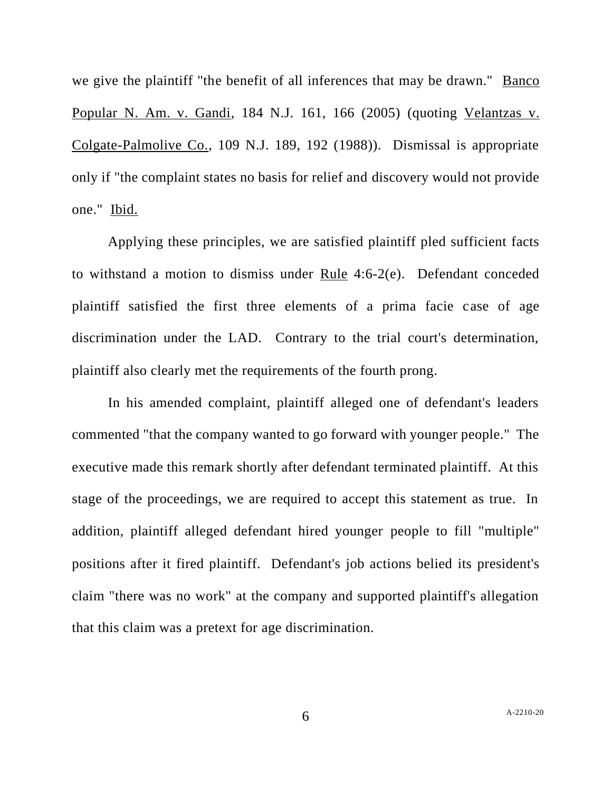we give the plaintiff "the benefit of all inferences that may be drawn." Banco Popular N. Am. v. Gandi, 184 N.J. 161, 166 (2005) (quoting Velantzas v. Colgate-Palmolive Co., 109 N.J. 189, 192 (1988)). Dismissal is appropriate only if "the complaint states no basis for relief and discovery would not provide one." Ibid.

Applying these principles, we are satisfied plaintiff pled sufficient facts to withstand a motion to dismiss under Rule 4:6-2(e). Defendant conceded plaintiff satisfied the first three elements of a prima facie case of age discrimination under the LAD. Contrary to the trial court's determination, plaintiff also clearly met the requirements of the fourth prong.

In his amended complaint, plaintiff alleged one of defendant's leaders commented "that the company wanted to go forward with younger people." The executive made this remark shortly after defendant terminated plaintiff. At this stage of the proceedings, we are required to accept this statement as true. In addition, plaintiff alleged defendant hired younger people to fill "multiple" positions after it fired plaintiff. Defendant's job actions belied its president's claim "there was no work" at the company and supported plaintiff's allegation that this claim was a pretext for age discrimination.